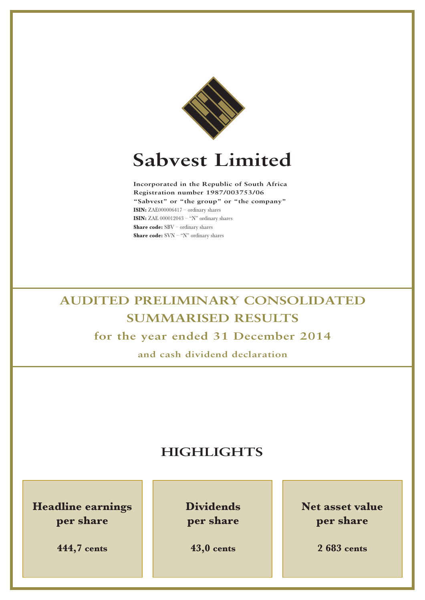

# **Sabvest Limited**

**Incorporated in the Republic of South Africa Registration number 1987/003753/06 "Sabvest" or "the group" or "the company" ISIN:** ZAE000006417 – ordinary shares **ISIN:** ZAE 000012043 – "N" ordinary shares **Share code:** SBV – ordinary shares **Share code:** SVN – "N" ordinary shares

# **AUDITED PRELIMINARY CONSOLIDATED SUMMARISED RESULTS for the year ended 31 December 2014**

**and cash dividend declaration**

# **HIGHLIGHTS**

**Headline earnings per share**

**444,7 cents**

**Dividends per share**

**43,0 cents**

**Net asset value per share**

**2 683 cents**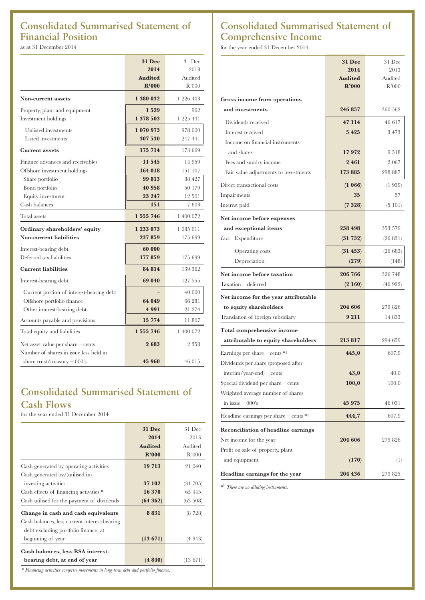# **Consolidated Summarised Statement of Financial Position**

as at 31 December 2014

|                                          | <b>31 Dec</b>  | 31 Dec    |
|------------------------------------------|----------------|-----------|
|                                          | 2014           | 2013      |
|                                          | <b>Audited</b> | Audited   |
|                                          | R'000          | R'000     |
| Non-current assets                       | 1 380 032      | 1 226 403 |
| Property, plant and equipment            | 1529           | 962       |
| Investment holdings                      | 1 378 503      | 1 225 441 |
| Unlisted investments                     | 1 070 973      | 978 000   |
| Listed investments                       | 307 530        | 247 441   |
| <b>Current assets</b>                    | 175 714        | 173 669   |
| Finance advances and receivables         | 11 545         | 14 959    |
| Offshore investment holdings             | 164 018        | 151 107   |
| Share portfolio                          | 99 813         | 88 427    |
| Bond portfolio                           | 40 958         | 50 179    |
| Equity investment                        | 23 247         | 12 501    |
| Cash balances                            | 151            | 7603      |
| Total assets                             | 1 555 746      | 1 400 072 |
| Ordinary shareholders' equity            | 1 233 073      | 1 085 011 |
| Non-current liabilities                  | 237 859        | 175 699   |
| Interest-bearing debt                    | 60 000         |           |
| Deferred tax liabilities                 | 177 859        | 175 699   |
| <b>Current liabilities</b>               | 84 814         | 139 362   |
| Interest-bearing debt                    | 69 040         | 127 555   |
| Current portion of interest-bearing debt |                | 40 000    |
| Offshore portfolio finance               | 64 049         | 66 281    |
| Other interest-bearing debt              | 4 9 9 1        | 21 274    |
| Accounts payable and provisions          | 15 774         | 11807     |
| Total equity and liabilities             | 1 555 746      | 1 400 072 |
| Net asset value per share $-$ cents      | 2683           | 2 358     |
| Number of shares in issue less held in   |                |           |
| share trust/treasury $-000$ 's           | 45 960         | 46 015    |

# **Consolidated Summarised Statement of Cash Flows**

for the year ended 31 December 2014

|                                              | 31 Dec         | 31 Dec   |
|----------------------------------------------|----------------|----------|
|                                              | 2014           | 2013     |
|                                              | <b>Audited</b> | Audited  |
|                                              | R'000          | R'000    |
| Cash generated by operating activities       | 19 713         | 21 040   |
| Cash generated by/(utilised in)              |                |          |
| investing activities                         | 37 102         | (31705)  |
| Cash effects of financing activities *       | 16 378         | 65 445   |
| Cash utilised for the payment of dividends   | (64362)        | (63 508) |
| Change in cash and cash equivalents          | 8 8 3 1        | (8 728)  |
| Cash balances, less current interest-bearing |                |          |
| debt excluding portfolio finance, at         |                |          |
| beginning of year                            | (13671)        | (4 943)  |
| Cash balances, less RSA interest-            |                |          |
| bearing debt, at end of year                 | (4840)         | (13.671) |

### *\* Financing activities comprise movements in long-term debt and portfolio finance.*

# **Consolidated Summarised Statement of Comprehensive Income**

for the year ended 31 December 2014

|                                            | <b>31 Dec</b>  | 31 Dec   |
|--------------------------------------------|----------------|----------|
|                                            | 2014           | 2013     |
|                                            | <b>Audited</b> | Audited  |
|                                            | R'000          | R'000    |
| Gross income from operations               |                |          |
| and investments                            | 246 857        | 360 562  |
| Dividends received                         | 47 114         | 46 617   |
| Interest received                          | 5 4 2 5        | 3473     |
| Income on financial instruments            |                |          |
| and shares                                 | 17972          | 9518     |
| Fees and sundry income                     | 2 4 6 1        | 2 0 6 7  |
| Fair value adjustments to investments      | 173 885        | 298 887  |
| Direct transactional costs                 | (1 066)        | (1939)   |
| Impairments                                | 35             | 57       |
| Interest paid                              | (7328)         | (5101)   |
| Net income before expenses                 |                |          |
| and exceptional items                      | 238 498        | 353 579  |
| Less: Expenditure                          | (31 732)       | (26831)  |
| Operating costs                            | (31 453)       | (26683)  |
| Depreciation                               | (279)          | (148)    |
| Net income before taxation                 | 206 766        | 326 748  |
| Taxation - deferred                        | (2160)         | (46 922) |
| Net income for the year attributable       |                |          |
| to equity shareholders                     | 204 606        | 279 826  |
| Translation of foreign subsidiary          | 9 2 1 1        | 14 833   |
| Total comprehensive income                 |                |          |
| attributable to equity shareholders        | 213 817        | 294 659  |
| Earnings per share – cents $*1$            | 445,0          | 607,9    |
| Dividends per share (proposed after        |                |          |
| interim/year-end) - cents                  | 43,0           | 40,0     |
| Special dividend per share $-$ cents       | 100,0          | 100,0    |
| Weighted average number of shares          |                |          |
| in issue $-000$ 's                         | 45 975         | 46 031   |
| Headline earnings per share $-$ cents $*1$ | 444,7          | 607,9    |
| Reconciliation of headline earnings        |                |          |
| Net income for the year                    | 204 606        | 279 826  |
| Profit on sale of property, plant          |                |          |
| and equipment                              | (170)          | $^{(1)}$ |
| Headline earnings for the year             | 204 436        | 279 825  |

\*1 *There are no diluting instruments.*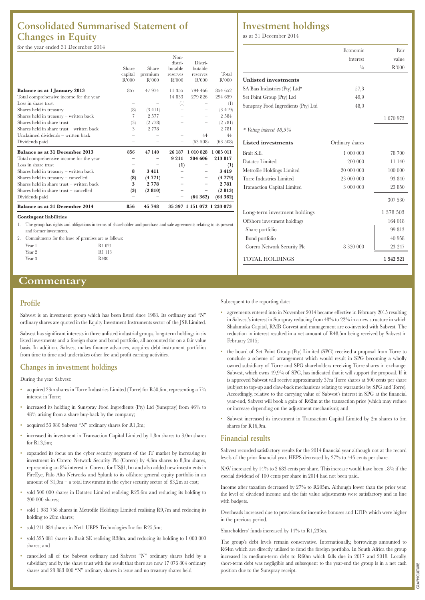# **Consolidated Summarised Statement of Changes in Equity**

# for the year ended 31 December 2014

| Balance as at 31 December 2014              | 856     | 45 748  |                    | 35 397 1 151 072 1 233 073 |           |
|---------------------------------------------|---------|---------|--------------------|----------------------------|-----------|
| Dividends paid                              |         |         |                    | (64362)                    | (64362)   |
| Shares held in share trust - cancelled      | (3)     | (2810)  |                    |                            | (2813)    |
| Shares held in share trust $-$ written back | 3       | 2778    |                    |                            | 2 7 8 1   |
| Shares held in treasury - cancelled         | (8)     | (4771)  |                    |                            | (4779)    |
| Shares held in treasury - written back      | 8       | 3411    |                    |                            | 3419      |
| Loss in share trust                         |         |         | (1)                |                            | (1)       |
| Total comprehensive income for the year     |         |         | 9 2 1 1            | 204 606                    | 213817    |
| Balance as at 31 December 2013              | 856     | 47 140  | 26 187             | 1 010 828                  | 1 085 011 |
| Dividends paid                              |         |         |                    | (63 508)                   | (63 508)  |
| Unclaimed dividends - written back          |         |         |                    | 44                         | 44        |
| Shares held in share trust $-$ written back | 3       | 2 7 7 8 |                    |                            | 2 7 8 1   |
| Shares held in share trust                  | (3)     | (2 778) |                    |                            | (2781)    |
| Shares held in treasury - written back      | 7       | 2577    |                    |                            | 2 5 8 4   |
| Shares held in treasury                     | (8)     | (3 411) |                    |                            | (3419)    |
| Loss in share trust                         |         |         | (1)                |                            | (1)       |
| Total comprehensive income for the year     |         |         | 14 833             | 279 826                    | 294 659   |
| <b>Balance as at 1 January 2013</b>         | 857     | 47 974  | 11 355             | 794 466                    | 854 652   |
|                                             | R'000   | R'000   | R'000              | R'000                      | R'000     |
|                                             | capital | premium | reserves           | reserves                   | Total     |
|                                             | Share   | Share   | distri-<br>butable | Distri-<br>butable         |           |
|                                             |         |         | Non-               |                            |           |

#### **Contingent liabilities**

1. The group has rights and obligations in terms of shareholder and purchase and sale agreements relating to its present and former investments.

2. Commitments for the lease of premises are as follows:

| R1 021           |
|------------------|
| R1 113           |
| R <sub>480</sub> |
|                  |

# **Commentary**

# **Profile**

Sabvest is an investment group which has been listed since 1988. Its ordinary and "N" ordinary shares are quoted in the Equity Investment Instruments sector of the JSE Limited.

Sabvest has significant interests in three unlisted industrial groups, long-term holdings in six listed investments and a foreign share and bond portfolio, all accounted for on a fair value basis. In addition, Sabvest makes finance advances, acquires debt instrument portfolios from time to time and undertakes other fee and profit earning activities.

# **Changes in investment holdings**

During the year Sabvest:

- acquired 23m shares in Torre Industries Limited (Torre) for R50,6m, representing a 7% interest in Torre;
- increased its holding in Sunspray Food Ingredients (Pty) Ltd (Sunspray) from 46% to 48% arising from a share buy-back by the company;
- acquired 53 980 Sabvest "N" ordinary shares for R1,3m;
- increased its investment in Transaction Capital Limited by 1,8m shares to 3,0m shares for  $R13,5m$
- expanded its focus on the cyber security segment of the IT market by increasing its investment in Corero Network Security Plc (Corero) by 4,3m shares to 8,3m shares, representing an 8% interest in Corero, for US\$1,1m and also added new investments in FireEye, Palo Alto Networks and Splunk to its offshore general equity portfolio in an amount of  $1,0m - a$  total investment in the cyber security sector of \$3,2m at cost;
- sold 500 000 shares in Datatec Limited realising R25,6m and reducing its holding to 200 000 shares;
- sold 1 983 758 shares in Metrofile Holdings Limited realising R9,7m and reducing its holding to 20m shares;
- sold 211 884 shares in Net1 UEPS Technologies Inc for R25,5m;
- sold 525 081 shares in Brait SE realising R38m, and reducing its holding to 1 000 000 shares; and
- cancelled all of the Sabvest ordinary and Sabvest "N" ordinary shares held by a subsidiary and by the share trust with the result that there are now 17 076 804 ordinary shares and 28 883 000 "N" ordinary shares in issue and no treasury shares held.

# **Investment holdings**

as at 31 December 2014

|                                     | Economic        | Fair      |
|-------------------------------------|-----------------|-----------|
|                                     | interest        | value     |
|                                     | $^{0}/_{0}$     | R'000     |
| <b>Unlisted investments</b>         |                 |           |
| SA Bias Industries (Pty) Ltd*       | 57,3            |           |
| Set Point Group (Pty) Ltd           | 49,9            |           |
| Sunspray Food Ingredients (Pty) Ltd | 48,0            |           |
|                                     |                 | 1 070 973 |
| * Voting interest 48,5%             |                 |           |
| <b>Listed</b> investments           | Ordinary shares |           |
| Brait S.E.                          | 1 000 000       | 78 700    |
| Datatec Limited                     | 200 000         | 11 140    |
| Metrofile Holdings Limited          | 20 000 000      | 100 000   |
| Torre Industries Limited            | 23 000 000      | 93 840    |
| <b>Transaction Capital Limited</b>  | 3 000 000       | 23 850    |
|                                     |                 | 307 530   |
| Long-term investment holdings       |                 | 1 378 503 |
| Offshore investment holdings        |                 | 164 018   |
| Share portfolio                     |                 | 99813     |
| Bond portfolio                      |                 | 40 958    |
| Corero Network Security Plc         | 8 3 2 0 0 0 0   | 23 247    |
| <b>TOTAL HOLDINGS</b>               |                 | 1 542 521 |

Subsequent to the reporting date:

- agreements entered into in November 2014 became effective in February 2015 resulting in Sabvest's interest in Sunspray reducing from 48% to 22% in a new structure in which Shalamuka Capital, RMB Corvest and management are co-invested with Sabvest. The reduction in interest resulted in a net amount of R48,5m being received by Sabvest in February 2015;
- the board of Set Point Group (Pty) Limited (SPG) received a proposal from Torre to conclude a scheme of arrangement which would result in SPG becoming a wholly owned subsidiary of Torre and SPG shareholders receiving Torre shares in exchange. Sabvest, which owns 49,9% of SPG, has indicated that it will support the proposal. If it is approved Sabvest will receive approximately 37m Torre shares at 500 cents per share (subject to top-up and claw-back mechanisms relating to warranties by SPG and Torre). Accordingly, relative to the carrying value of Sabvest's interest in SPG at the financial year-end, Sabvest will book a gain of R62m at the transaction price (which may reduce or increase depending on the adjustment mechanism); and
- Sabvest increased its investment in Transaction Capital Limited by 2m shares to 5m shares for R16,9m.

# **Financial results**

Sabvest recorded satisfactory results for the 2014 financial year although not at the record levels of the prior financial year. HEPS decreased by 27% to 445 cents per share.

NAV increased by 14% to 2 683 cents per share. This increase would have been 18% if the special dividend of 100 cents per share in 2014 had not been paid.

Income after taxation decreased by 27% to R205m. Although lower than the prior year, the level of dividend income and the fair value adjustments were satisfactory and in line with budgets.

Overheads increased due to provisions for incentive bonuses and LTIPs which were higher in the previous period.

Shareholders' funds increased by 14% to R1,233m.

The group's debt levels remain conservative. Internationally, borrowings amounted to R64m which are directly utilised to fund the foreign portfolio. In South Africa the group increased its medium-term debt to R60m which falls due in 2017 and 2018. Locally, short-term debt was negligible and subsequent to the year-end the group is in a net cash position due to the Sunspray receipt.